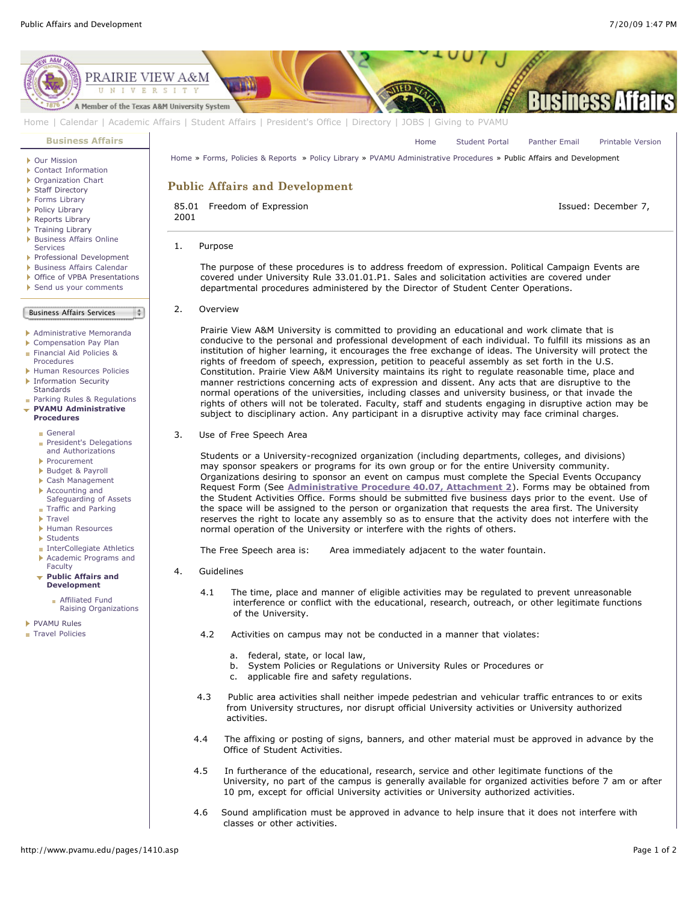

- [Administrative Memoranda](http://www.pvamu.edu/pages/1230.asp) [Compensation Pay Plan](http://www.pvamu.edu/pages/2078.asp) [Financial Aid Policies &](http://www.pvamu.edu/pages/2636.asp)
- Procedures
- [Human Resources Policies](http://www.pvamu.edu/pages/679.asp) **[Information Security](http://www.pvamu.edu/pages/2492.asp)**
- **Standards [Parking Rules & Regulations](http://www.pvamu.edu/pages/1233.asp)**
- **[PVAMU Administrative](http://www.pvamu.edu/pages/1234.asp) Procedures**
	- [General](http://www.pvamu.edu/pages/1235.asp)
	- [President's Delegations](http://www.pvamu.edu/pages/1236.asp) and Authorizations
	- [Procurement](http://www.pvamu.edu/pages/1239.asp)
	- [Budget & Payroll](http://www.pvamu.edu/pages/1251.asp)
	- [Cash Management](http://www.pvamu.edu/pages/1328.asp)
	- Accounting and
	- [Safeguarding of Assets](http://www.pvamu.edu/pages/1335.asp) **[Traffic and Parking](http://www.pvamu.edu/pages/1348.asp)**
	- **[Travel](http://www.pvamu.edu/pages/1350.asp)**
	- [Human Resources](http://www.pvamu.edu/pages/1358.asp)
	- [Students](http://www.pvamu.edu/pages/1374.asp)
	- **[InterCollegiate Athletics](http://www.pvamu.edu/pages/1390.asp)**
	- [Academic Programs and](http://www.pvamu.edu/pages/1391.asp) Faculty
	- **[Public Affairs and](http://www.pvamu.edu/pages/1410.asp) Development**

Affiliated Fund [Raising Organizations](http://www.pvamu.edu/pages/1411.asp)

- **[PVAMU Rules](http://www.pvamu.edu/pages/1412.asp)**
- [Travel Policies](http://www.pvamu.edu/pages/1414.asp)

## 2. Overview

 Prairie View A&M University is committed to providing an educational and work climate that is conducive to the personal and professional development of each individual. To fulfill its missions as an institution of higher learning, it encourages the free exchange of ideas. The University will protect the rights of freedom of speech, expression, petition to peaceful assembly as set forth in the U.S. Constitution. Prairie View A&M University maintains its right to regulate reasonable time, place and manner restrictions concerning acts of expression and dissent. Any acts that are disruptive to the normal operations of the universities, including classes and university business, or that invade the rights of others will not be tolerated. Faculty, staff and students engaging in disruptive action may be subject to disciplinary action. Any participant in a disruptive activity may face criminal charges.

3. Use of Free Speech Area

 Students or a University-recognized organization (including departments, colleges, and divisions) may sponsor speakers or programs for its own group or for the entire University community. Organizations desiring to sponsor an event on campus must complete the Special Events Occupancy Request Form (See **[Administrative Procedure 40.07, Attachment 2](http://vpfa.pvamu.edu/procedures/4007att2.html)**). Forms may be obtained from the Student Activities Office. Forms should be submitted five business days prior to the event. Use of the space will be assigned to the person or organization that requests the area first. The University reserves the right to locate any assembly so as to ensure that the activity does not interfere with the normal operation of the University or interfere with the rights of others.

The Free Speech area is: Area immediately adjacent to the water fountain.

- 4. Guidelines
	- 4.1 The time, place and manner of eligible activities may be regulated to prevent unreasonable interference or conflict with the educational, research, outreach, or other legitimate functions of the University.
	- 4.2 Activities on campus may not be conducted in a manner that violates:
		- a. federal, state, or local law,
		- b. System Policies or Regulations or University Rules or Procedures or
		- c. applicable fire and safety regulations.
	- 4.3 Public area activities shall neither impede pedestrian and vehicular traffic entrances to or exits from University structures, nor disrupt official University activities or University authorized activities.
	- 4.4 The affixing or posting of signs, banners, and other material must be approved in advance by the Office of Student Activities.
	- 4.5 In furtherance of the educational, research, service and other legitimate functions of the University, no part of the campus is generally available for organized activities before 7 am or after 10 pm, except for official University activities or University authorized activities.
	- 4.6 Sound amplification must be approved in advance to help insure that it does not interfere with classes or other activities.